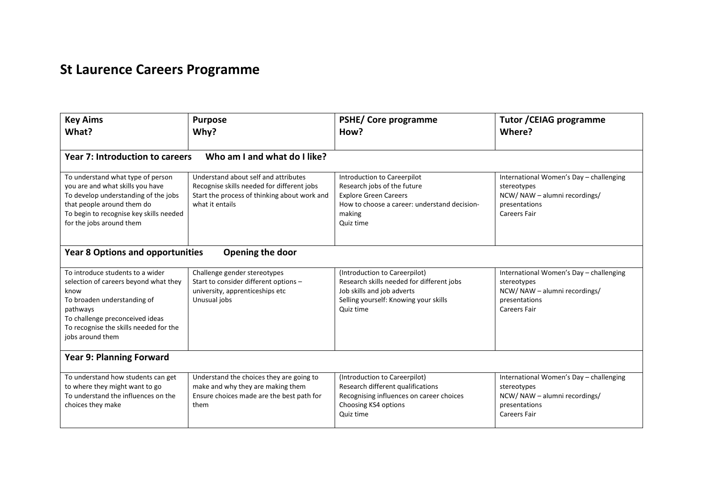## **St Laurence Careers Programme**

| <b>Key Aims</b><br>What?                                                                                                                                                                                                      | <b>Purpose</b><br>Why?                                                                                                                                | <b>PSHE/ Core programme</b><br>How?                                                                                                                               | <b>Tutor / CEIAG programme</b><br>Where?                                                                                       |  |  |
|-------------------------------------------------------------------------------------------------------------------------------------------------------------------------------------------------------------------------------|-------------------------------------------------------------------------------------------------------------------------------------------------------|-------------------------------------------------------------------------------------------------------------------------------------------------------------------|--------------------------------------------------------------------------------------------------------------------------------|--|--|
| Who am I and what do I like?<br><b>Year 7: Introduction to careers</b>                                                                                                                                                        |                                                                                                                                                       |                                                                                                                                                                   |                                                                                                                                |  |  |
| To understand what type of person<br>you are and what skills you have<br>To develop understanding of the jobs<br>that people around them do<br>To begin to recognise key skills needed<br>for the jobs around them            | Understand about self and attributes<br>Recognise skills needed for different jobs<br>Start the process of thinking about work and<br>what it entails | Introduction to Careerpilot<br>Research jobs of the future<br><b>Explore Green Careers</b><br>How to choose a career: understand decision-<br>making<br>Quiz time | International Women's Day - challenging<br>stereotypes<br>NCW/NAW - alumni recordings/<br>presentations<br><b>Careers Fair</b> |  |  |
| Opening the door<br><b>Year 8 Options and opportunities</b>                                                                                                                                                                   |                                                                                                                                                       |                                                                                                                                                                   |                                                                                                                                |  |  |
| To introduce students to a wider<br>selection of careers beyond what they<br>know<br>To broaden understanding of<br>pathways<br>To challenge preconceived ideas<br>To recognise the skills needed for the<br>jobs around them | Challenge gender stereotypes<br>Start to consider different options -<br>university, apprenticeships etc<br>Unusual jobs                              | (Introduction to Careerpilot)<br>Research skills needed for different jobs<br>Job skills and job adverts<br>Selling yourself: Knowing your skills<br>Quiz time    | International Women's Day - challenging<br>stereotypes<br>NCW/NAW - alumni recordings/<br>presentations<br><b>Careers Fair</b> |  |  |
| <b>Year 9: Planning Forward</b>                                                                                                                                                                                               |                                                                                                                                                       |                                                                                                                                                                   |                                                                                                                                |  |  |
| To understand how students can get<br>to where they might want to go<br>To understand the influences on the<br>choices they make                                                                                              | Understand the choices they are going to<br>make and why they are making them<br>Ensure choices made are the best path for<br>them                    | (Introduction to Careerpilot)<br>Research different qualifications<br>Recognising influences on career choices<br>Choosing KS4 options<br>Quiz time               | International Women's Day - challenging<br>stereotypes<br>NCW/NAW - alumni recordings/<br>presentations<br><b>Careers Fair</b> |  |  |